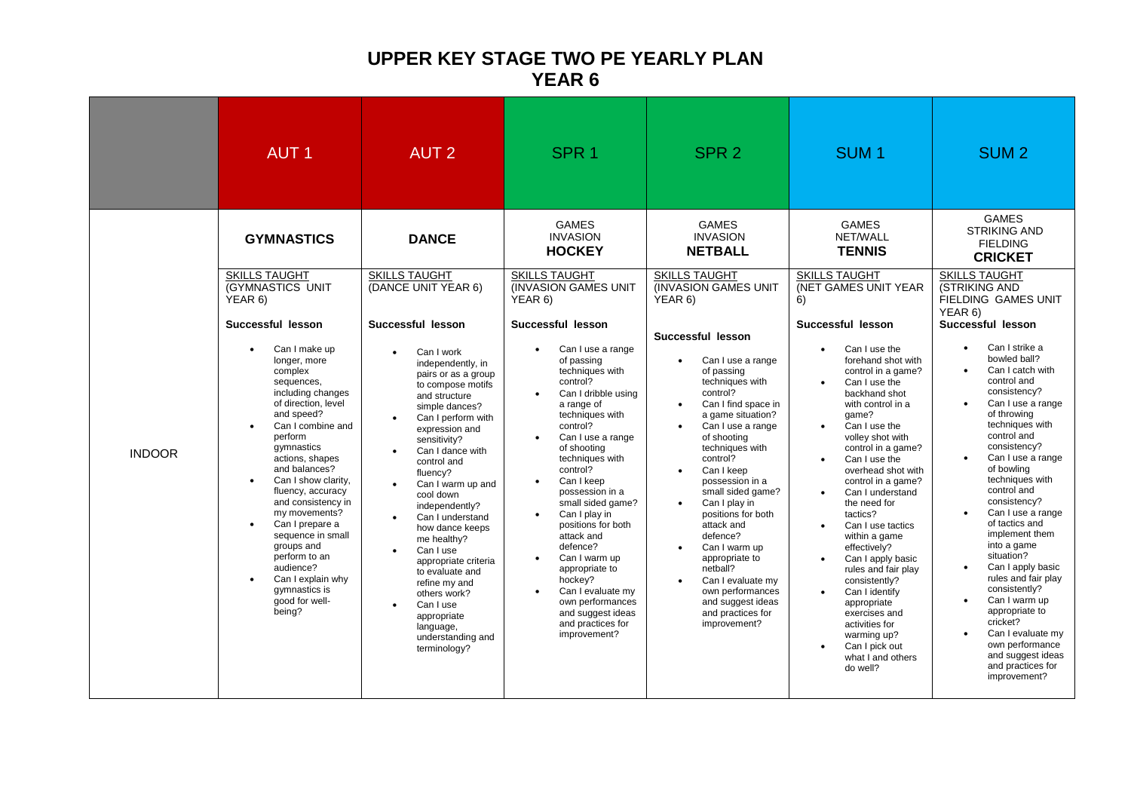## **UPPER KEY STAGE TWO PE YEARLY PLAN YEAR 6**

|               | <b>AUT1</b>                                                                                                                                                                                                                                                                                                                                                                                                                                                                                                                                               | <b>AUT 2</b>                                                                                                                                                                                                                                                                                                                                                                                                                                                                                                                                                                                                                                                             | SPR <sub>1</sub>                                                                                                                                                                                                                                                                                                                                                                                                                                                                                                                                                                                                                                          | SPR <sub>2</sub>                                                                                                                                                                                                                                                                                                                                                                                                                                                                                                                                                                                                                                                                               | SUM <sub>1</sub>                                                                                                                                                                                                                                                                                                                                                                                                                                                                                                                                                                                                                                                                                                                                                 | <b>SUM2</b>                                                                                                                                                                                                                                                                                                                                                                                                                                                                                                                                                                                                                                                                                                                                                                         |
|---------------|-----------------------------------------------------------------------------------------------------------------------------------------------------------------------------------------------------------------------------------------------------------------------------------------------------------------------------------------------------------------------------------------------------------------------------------------------------------------------------------------------------------------------------------------------------------|--------------------------------------------------------------------------------------------------------------------------------------------------------------------------------------------------------------------------------------------------------------------------------------------------------------------------------------------------------------------------------------------------------------------------------------------------------------------------------------------------------------------------------------------------------------------------------------------------------------------------------------------------------------------------|-----------------------------------------------------------------------------------------------------------------------------------------------------------------------------------------------------------------------------------------------------------------------------------------------------------------------------------------------------------------------------------------------------------------------------------------------------------------------------------------------------------------------------------------------------------------------------------------------------------------------------------------------------------|------------------------------------------------------------------------------------------------------------------------------------------------------------------------------------------------------------------------------------------------------------------------------------------------------------------------------------------------------------------------------------------------------------------------------------------------------------------------------------------------------------------------------------------------------------------------------------------------------------------------------------------------------------------------------------------------|------------------------------------------------------------------------------------------------------------------------------------------------------------------------------------------------------------------------------------------------------------------------------------------------------------------------------------------------------------------------------------------------------------------------------------------------------------------------------------------------------------------------------------------------------------------------------------------------------------------------------------------------------------------------------------------------------------------------------------------------------------------|-------------------------------------------------------------------------------------------------------------------------------------------------------------------------------------------------------------------------------------------------------------------------------------------------------------------------------------------------------------------------------------------------------------------------------------------------------------------------------------------------------------------------------------------------------------------------------------------------------------------------------------------------------------------------------------------------------------------------------------------------------------------------------------|
| <b>INDOOR</b> | <b>GYMNASTICS</b><br><b>SKILLS TAUGHT</b><br>(GYMNASTICS UNIT<br>YEAR 6)<br>Successful lesson<br>Can I make up<br>$\bullet$<br>longer, more<br>complex<br>sequences,<br>including changes<br>of direction, level<br>and speed?<br>Can I combine and<br>perform<br>gymnastics<br>actions, shapes<br>and balances?<br>Can I show clarity,<br>fluency, accuracy<br>and consistency in<br>my movements?<br>Can I prepare a<br>sequence in small<br>groups and<br>perform to an<br>audience?<br>Can I explain why<br>gymnastics is<br>good for well-<br>being? | <b>DANCE</b><br><b>SKILLS TAUGHT</b><br>(DANCE UNIT YEAR 6)<br>Successful lesson<br>Can I work<br>$\bullet$<br>independently, in<br>pairs or as a group<br>to compose motifs<br>and structure<br>simple dances?<br>Can I perform with<br>expression and<br>sensitivity?<br>Can I dance with<br>$\bullet$<br>control and<br>fluency?<br>Can I warm up and<br>$\bullet$<br>cool down<br>independently?<br>Can I understand<br>$\bullet$<br>how dance keeps<br>me healthy?<br>Can I use<br>$\bullet$<br>appropriate criteria<br>to evaluate and<br>refine my and<br>others work?<br>Can I use<br>$\bullet$<br>appropriate<br>language,<br>understanding and<br>terminology? | <b>GAMES</b><br><b>INVASION</b><br><b>HOCKEY</b><br><b>SKILLS TAUGHT</b><br>(INVASION GAMES UNIT)<br>YEAR 6)<br>Successful lesson<br>Can I use a range<br>of passing<br>techniques with<br>control?<br>Can I dribble using<br>a range of<br>techniques with<br>control?<br>Can I use a range<br>of shooting<br>techniques with<br>control?<br>Can I keep<br>$\bullet$<br>possession in a<br>small sided game?<br>Can I play in<br>positions for both<br>attack and<br>defence?<br>Can I warm up<br>$\bullet$<br>appropriate to<br>hockey?<br>Can I evaluate my<br>$\bullet$<br>own performances<br>and suggest ideas<br>and practices for<br>improvement? | <b>GAMES</b><br><b>INVASION</b><br><b>NETBALL</b><br><b>SKILLS TAUGHT</b><br><b>(INVASION GAMES UNIT)</b><br>YEAR 6)<br>Successful lesson<br>Can I use a range<br>$\bullet$<br>of passing<br>techniques with<br>control?<br>Can I find space in<br>$\bullet$<br>a game situation?<br>Can I use a range<br>$\bullet$<br>of shooting<br>techniques with<br>control?<br>Can I keep<br>$\bullet$<br>possession in a<br>small sided game?<br>Can I play in<br>$\bullet$<br>positions for both<br>attack and<br>defence?<br>Can I warm up<br>$\bullet$<br>appropriate to<br>netball?<br>Can I evaluate my<br>$\bullet$<br>own performances<br>and suggest ideas<br>and practices for<br>improvement? | <b>GAMES</b><br>NET/WALL<br><b>TENNIS</b><br><b>SKILLS TAUGHT</b><br>(NET GAMES UNIT YEAR<br>6)<br>Successful lesson<br>Can I use the<br>$\bullet$<br>forehand shot with<br>control in a game?<br>Can I use the<br>$\bullet$<br>backhand shot<br>with control in a<br>qame?<br>Can I use the<br>$\bullet$<br>volley shot with<br>control in a game?<br>Can I use the<br>overhead shot with<br>control in a game?<br>Can I understand<br>the need for<br>tactics?<br>Can I use tactics<br>$\bullet$<br>within a game<br>effectively?<br>Can I apply basic<br>$\bullet$<br>rules and fair play<br>consistently?<br>Can I identify<br>$\bullet$<br>appropriate<br>exercises and<br>activities for<br>warming up?<br>Can I pick out<br>what I and others<br>do well? | <b>GAMES</b><br><b>STRIKING AND</b><br><b>FIELDING</b><br><b>CRICKET</b><br><b>SKILLS TAUGHT</b><br>(STRIKING AND<br>FIELDING GAMES UNIT<br>YEAR 6)<br>Successful lesson<br>Can I strike a<br>$\bullet$<br>bowled ball?<br>Can I catch with<br>control and<br>consistency?<br>Can I use a range<br>of throwing<br>techniques with<br>control and<br>consistency?<br>Can I use a range<br>of bowling<br>techniques with<br>control and<br>consistency?<br>Can I use a range<br>of tactics and<br>implement them<br>into a game<br>situation?<br>Can I apply basic<br>rules and fair play<br>consistently?<br>Can I warm up<br>$\bullet$<br>appropriate to<br>cricket?<br>Can I evaluate my<br>$\bullet$<br>own performance<br>and suggest ideas<br>and practices for<br>improvement? |